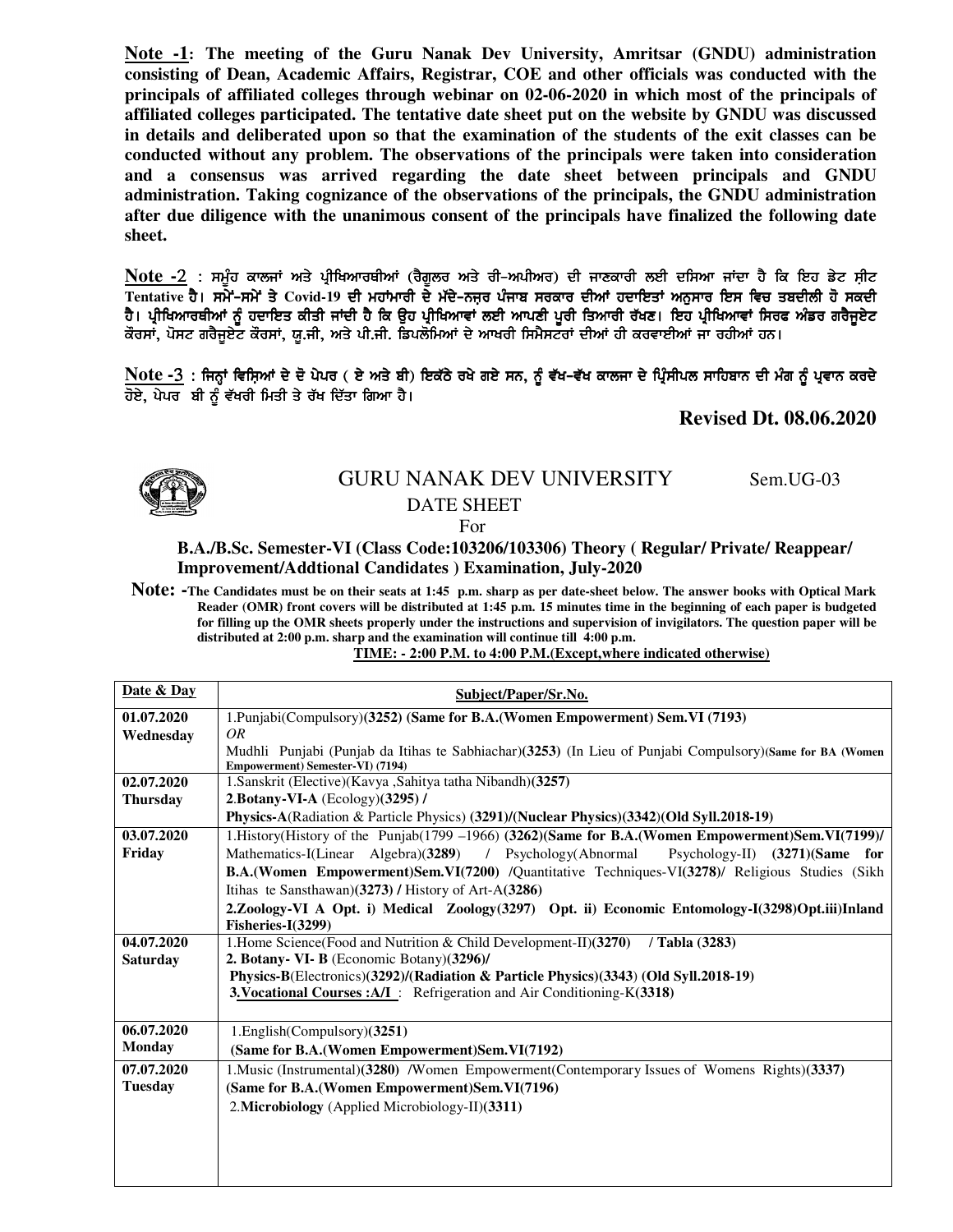**Note -1:****The meeting of the Guru Nanak Dev University, Amritsar (GNDU) administration consisting of Dean, Academic Affairs, Registrar, COE and other officials was conducted with the principals of affiliated colleges through webinar on 02-06-2020 in which most of the principals of affiliated colleges participated. The tentative date sheet put on the website by GNDU was discussed in details and deliberated upon so that the examination of the students of the exit classes can be conducted without any problem. The observations of the principals were taken into consideration and a consensus was arrived regarding the date sheet between principals and GNDU administration. Taking cognizance of the observations of the principals, the GNDU administration after due diligence with the unanimous consent of the principals have finalized the following date sheet.** 

**Note -***2 L ;w {zj ekbiK ns/ gqhfynkoEhnK (o?r{bo ns/ oh^nghno) dh ikDekoh bJh df;nk iKdk j ? fe fJj v /N ;ahN*  Tentative ਹੈ। ਸਮੇਂ-ਸਮੇਂ ਤੇ Covid-19 ਦੀ ਮਹਾਂਮਾਰੀ ਦੇ ਮੱਦੇ-ਨਜ਼ਰ ਪੰਜਾਬ ਸਰਕਾਰ ਦੀਆਂ ਹਦਾਇਤਾਂ ਅਨੁਸਾਰ ਇਸ ਵਿਚ ਤਬਦੀਲੀ ਹੋ ਸਕਦੀ ਹੈ। ਪ੍ਰੀਖਿਆਰਥੀਆਂ ਨੂੰ ਹਦਾਇਤ ਕੀਤੀ ਜਾਂਦੀ ਹੈ ਕਿ ਉਹ ਪ੍ਰੀਖਿਆਵਾਂ ਲਈ ਆਪਣੀ ਪੂਰੀ ਤਿਆਰੀ ਰੱਖਣ। ਇਹ ਪ੍ਰੀਖਿਆਵਾਂ ਸਿਰਫ ਅੰਡਰ ਗਰੈਜੂਏਟ ਕੌਰਸਾਂ, ਪੋਸਟ ਗਰੈਜੂਏਟ ਕੌਰਸਾਂ, ਯੂ.ਜੀ, ਅਤੇ ਪੀ.ਜੀ. ਡਿਪਲੋਮਿਆਂ ਦੇ ਆਖਰੀ ਸਿਮੈਸਟਰਾਂ ਦੀਆਂ ਹੀ ਕਰਵਾਈਆਂ ਜਾ ਰਹੀਆਂ ਹਨ।

*Note -3* : ਜਿਨ੍ਹਾਂ ਵਿਸ਼ਿਆਂ ਦੇ ਦੋ ਪੇਪਰ ( ਏ ਅਤੇ ਬੀ) ਇਕੱਠੇ ਰਖੇ ਗਏ ਸਨ, ਨੂੰ ਵੱਖ-ਵੱਖ ਕਾਲਜਾ ਦੇ ਪ੍ਰਿੰਸੀਪਲ ਸਾਹਿਬਾਨ ਦੀ ਮੰਗ ਨੂੰ ਪ੍ਰਵਾਨ ਕਰਦੇ ਹੋਏ, ਪੇਪਰ **ਬੀ ਨੂੰ ਵੱਖਰੀ ਮਿਤੀ ਤੇ ਰੱਖ ਦਿੱਤਾ ਗਿਆ** ਹੈ।

**Revised Dt. 08.06.2020** 



## GURU NANAK DEV UNIVERSITY Sem.UG-03 DATE SHEET For

## **B.A./B.Sc. Semester-VI (Class Code:103206/103306) Theory ( Regular/ Private/ Reappear/ Improvement/Addtional Candidates ) Examination, July-2020**

**Note: -The Candidates must be on their seats at 1:45 p.m. sharp as per date-sheet below. The answer books with Optical Mark Reader (OMR) front covers will be distributed at 1:45 p.m. 15 minutes time in the beginning of each paper is budgeted for filling up the OMR sheets properly under the instructions and supervision of invigilators. The question paper will be distributed at 2:00 p.m. sharp and the examination will continue till 4:00 p.m.** 

## **TIME: - 2:00 P.M. to 4:00 P.M.(Except,where indicated otherwise)**

| Date & Day      | Subject/Paper/Sr.No.                                                                                                                           |
|-----------------|------------------------------------------------------------------------------------------------------------------------------------------------|
| 01.07.2020      | 1. Punjabi(Compulsory)(3252) (Same for B.A. (Women Empowerment) Sem. VI (7193)                                                                 |
| Wednesday       | OR                                                                                                                                             |
|                 | Mudhli Punjabi (Punjab da Itihas te Sabhiachar) (3253) (In Lieu of Punjabi Compulsory) (Same for BA (Women<br>Empowerment) Semester-VI) (7194) |
| 02.07.2020      | 1.Sanskrit (Elective)(Kavya ,Sahitya tatha Nibandh)(3257)                                                                                      |
| <b>Thursday</b> | 2. Botany-VI-A (Ecology)(3295) /                                                                                                               |
|                 | Physics-A(Radiation & Particle Physics) (3291)/(Nuclear Physics)(3342)(Old Syll.2018-19)                                                       |
| 03.07.2020      | 1. History(History of the Punjab(1799 -1966) (3262)(Same for B.A.(Women Empowerment)Sem.VI(7199)/                                              |
| Friday          | Mathematics-I(Linear Algebra)(3289) / Psychology(Abnormal<br>Psychology-II) (3271)(Same for                                                    |
|                 | B.A.(Women Empowerment)Sem.VI(7200) /Quantitative Techniques-VI(3278)/ Religious Studies (Sikh                                                 |
|                 | Itihas te Sansthawan) $(3273)$ / History of Art-A $(3286)$                                                                                     |
|                 | 2.Zoology-VI A Opt. i) Medical Zoology(3297) Opt. ii) Economic Entomology-I(3298)Opt.iii)Inland                                                |
|                 | Fisheries-I(3299)                                                                                                                              |
| 04.07.2020      | 1. Home Science (Food and Nutrition & Child Development-II) (3270)<br>/ Tabla (3283)                                                           |
| <b>Saturday</b> | 2. Botany- VI- B (Economic Botany)(3296)/                                                                                                      |
|                 | Physics-B(Electronics)(3292)/(Radiation & Particle Physics)(3343) (Old Syll.2018-19)                                                           |
|                 | 3. Vocational Courses: A/I: Refrigeration and Air Conditioning-K(3318)                                                                         |
| 06.07.2020      | 1.English(Compulsory)(3251)                                                                                                                    |
| <b>Monday</b>   | (Same for B.A. (Women Empowerment) Sem. VI (7192)                                                                                              |
| 07.07.2020      | 1. Music (Instrumental) (3280) / Women Empowerment (Contemporary Issues of Womens Rights) (3337)                                               |
| <b>Tuesday</b>  | (Same for B.A.(Women Empowerment)Sem.VI(7196)                                                                                                  |
|                 | 2. Microbiology (Applied Microbiology-II)(3311)                                                                                                |
|                 |                                                                                                                                                |
|                 |                                                                                                                                                |
|                 |                                                                                                                                                |
|                 |                                                                                                                                                |